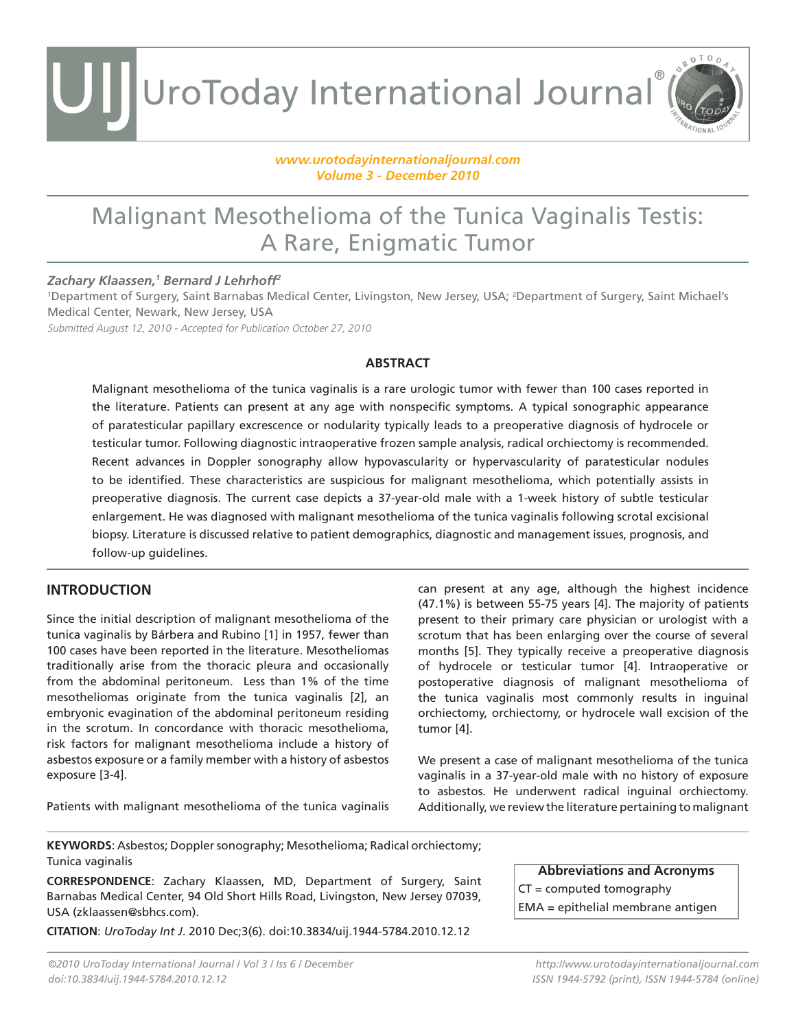UroToday International Journal® UIJ

#### *www.urotodayinternationaljournal.com Volume 3 - December 2010*

### Malignant Mesothelioma of the Tunica Vaginalis Testis: A Rare, Enigmatic Tumor

### *Zachary Klaassen,1 Bernard J Lehrhoff2*

1 Department of Surgery, Saint Barnabas Medical Center, Livingston, New Jersey, USA; 2 Department of Surgery, Saint Michael's Medical Center, Newark, New Jersey, USA

Submitted August 12, 2010 - Accepted for Publication October 27, 2010

#### **ABSTRACT**

Malignant mesothelioma of the tunica vaginalis is a rare urologic tumor with fewer than 100 cases reported in the literature. Patients can present at any age with nonspecific symptoms. A typical sonographic appearance of paratesticular papillary excrescence or nodularity typically leads to a preoperative diagnosis of hydrocele or testicular tumor. Following diagnostic intraoperative frozen sample analysis, radical orchiectomy is recommended. Recent advances in Doppler sonography allow hypovascularity or hypervascularity of paratesticular nodules to be identified. These characteristics are suspicious for malignant mesothelioma, which potentially assists in preoperative diagnosis. The current case depicts a 37-year-old male with a 1-week history of subtle testicular enlargement. He was diagnosed with malignant mesothelioma of the tunica vaginalis following scrotal excisional biopsy. Literature is discussed relative to patient demographics, diagnostic and management issues, prognosis, and follow-up guidelines.

### **INTRODUCTION**

Since the initial description of malignant mesothelioma of the tunica vaginalis by Bárbera and Rubino [1] in 1957, fewer than 100 cases have been reported in the literature. Mesotheliomas traditionally arise from the thoracic pleura and occasionally from the abdominal peritoneum. Less than 1% of the time mesotheliomas originate from the tunica vaginalis [2], an embryonic evagination of the abdominal peritoneum residing in the scrotum. In concordance with thoracic mesothelioma, risk factors for malignant mesothelioma include a history of asbestos exposure or a family member with a history of asbestos exposure [3-4].

Patients with malignant mesothelioma of the tunica vaginalis

can present at any age, although the highest incidence (47.1%) is between 55-75 years [4]. The majority of patients present to their primary care physician or urologist with a scrotum that has been enlarging over the course of several months [5]. They typically receive a preoperative diagnosis of hydrocele or testicular tumor [4]. Intraoperative or postoperative diagnosis of malignant mesothelioma of the tunica vaginalis most commonly results in inguinal orchiectomy, orchiectomy, or hydrocele wall excision of the tumor [4].

ROTOD

We present a case of malignant mesothelioma of the tunica vaginalis in a 37-year-old male with no history of exposure to asbestos. He underwent radical inguinal orchiectomy. Additionally, we review the literature pertaining to malignant

**KEYWORDS**: Asbestos; Doppler sonography; Mesothelioma; Radical orchiectomy; Tunica vaginalis

**CORRESPONDENCE**: Zachary Klaassen, MD, Department of Surgery, Saint Barnabas Medical Center, 94 Old Short Hills Road, Livingston, New Jersey 07039, USA (zklaassen@sbhcs.com).

**CITATION**: *UroToday Int J*. 2010 Dec;3(6). doi:10.3834/uij.1944-5784.2010.12.12

**Abbreviations and Acronyms** CT = computed tomography EMA = epithelial membrane antigen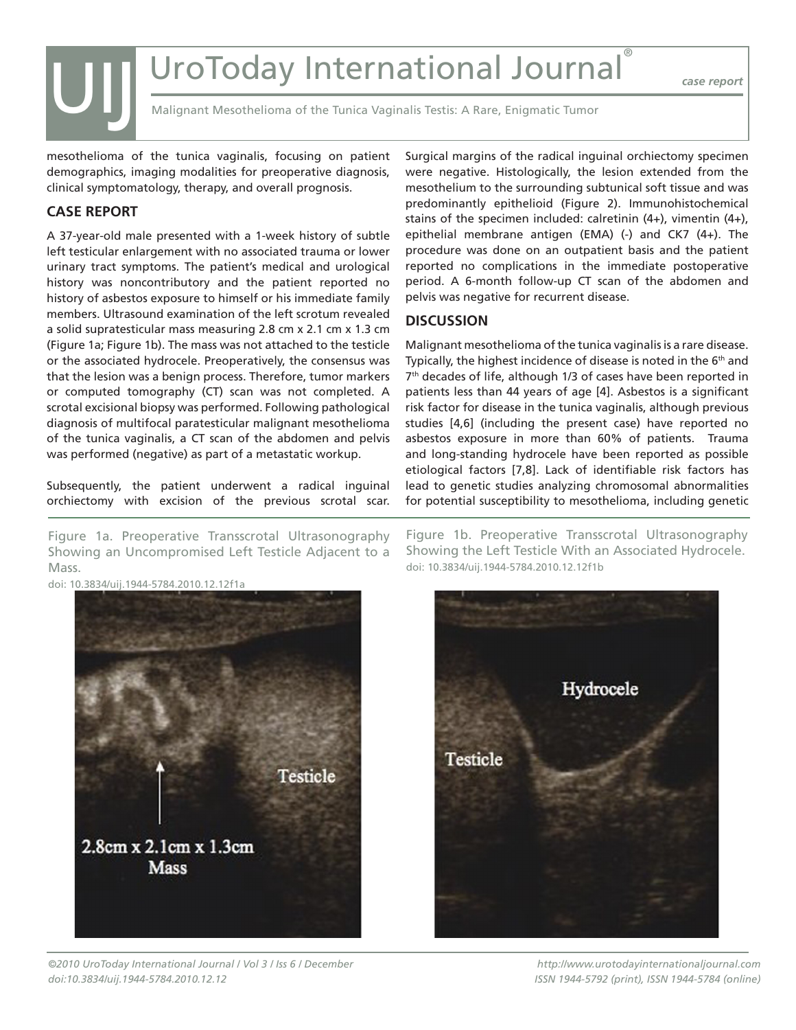### UroToday International Journal

*case report*

Malignant Mesothelioma of the Tunica Vaginalis Testis: A Rare, Enigmatic Tumor

mesothelioma of the tunica vaginalis, focusing on patient demographics, imaging modalities for preoperative diagnosis, clinical symptomatology, therapy, and overall prognosis.

### **CASE REPORT**

UIJ

A 37-year-old male presented with a 1-week history of subtle left testicular enlargement with no associated trauma or lower urinary tract symptoms. The patient's medical and urological history was noncontributory and the patient reported no history of asbestos exposure to himself or his immediate family members. Ultrasound examination of the left scrotum revealed a solid supratesticular mass measuring 2.8 cm x 2.1 cm x 1.3 cm (Figure 1a; Figure 1b). The mass was not attached to the testicle or the associated hydrocele. Preoperatively, the consensus was that the lesion was a benign process. Therefore, tumor markers or computed tomography (CT) scan was not completed. A scrotal excisional biopsy was performed. Following pathological diagnosis of multifocal paratesticular malignant mesothelioma of the tunica vaginalis, a CT scan of the abdomen and pelvis was performed (negative) as part of a metastatic workup.

Subsequently, the patient underwent a radical inguinal orchiectomy with excision of the previous scrotal scar.

Figure 1a. Preoperative Transscrotal Ultrasonography Showing an Uncompromised Left Testicle Adjacent to a Mass.

Surgical margins of the radical inguinal orchiectomy specimen were negative. Histologically, the lesion extended from the mesothelium to the surrounding subtunical soft tissue and was predominantly epithelioid (Figure 2). Immunohistochemical stains of the specimen included: calretinin  $(4+)$ , vimentin  $(4+)$ , epithelial membrane antigen (EMA) (-) and CK7 (4+). The procedure was done on an outpatient basis and the patient reported no complications in the immediate postoperative period. A 6-month follow-up CT scan of the abdomen and pelvis was negative for recurrent disease.

### **DISCUSSION**

Malignant mesothelioma of the tunica vaginalis is a rare disease. Typically, the highest incidence of disease is noted in the  $6<sup>th</sup>$  and 7<sup>th</sup> decades of life, although 1/3 of cases have been reported in patients less than 44 years of age [4]. Asbestos is a significant risk factor for disease in the tunica vaginalis, although previous studies [4,6] (including the present case) have reported no asbestos exposure in more than 60% of patients. Trauma and long-standing hydrocele have been reported as possible etiological factors [7,8]. Lack of identifiable risk factors has lead to genetic studies analyzing chromosomal abnormalities for potential susceptibility to mesothelioma, including genetic

Figure 1b. Preoperative Transscrotal Ultrasonography Showing the Left Testicle With an Associated Hydrocele. doi: 10.3834/uij.1944-5784.2010.12.12f1b



*©2010 UroToday International Journal / Vol 3 / Iss 6 / December doi:10.3834/uij.1944-5784.2010.12.12*



*http://www.urotodayinternationaljournal.com ISSN 1944-5792 (print), ISSN 1944-5784 (online)*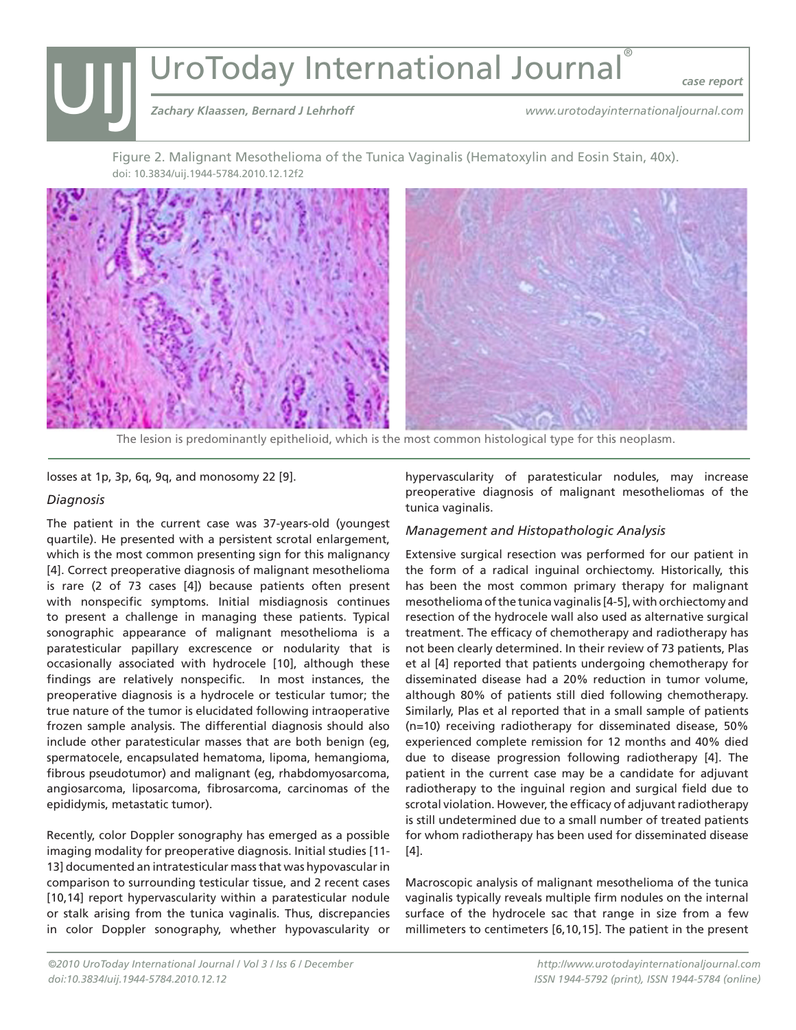# UIJ **UroToday International Journal®**<br> *Zachary Klaassen, Bernard J Lehrhoff*<br>
WWW.urotodayinter

*case report*

*www.urotodayinternationaljournal.com*

Figure 2. Malignant Mesothelioma of the Tunica Vaginalis (Hematoxylin and Eosin Stain, 40x). doi: 10.3834/uij.1944-5784.2010.12.12f2



The lesion is predominantly epithelioid, which is the most common histological type for this neoplasm.

losses at 1p, 3p, 6q, 9q, and monosomy 22 [9].

### *Diagnosis*

The patient in the current case was 37-years-old (youngest quartile). He presented with a persistent scrotal enlargement, which is the most common presenting sign for this malignancy [4]. Correct preoperative diagnosis of malignant mesothelioma is rare (2 of 73 cases [4]) because patients often present with nonspecific symptoms. Initial misdiagnosis continues to present a challenge in managing these patients. Typical sonographic appearance of malignant mesothelioma is a paratesticular papillary excrescence or nodularity that is occasionally associated with hydrocele [10], although these findings are relatively nonspecific. In most instances, the preoperative diagnosis is a hydrocele or testicular tumor; the true nature of the tumor is elucidated following intraoperative frozen sample analysis. The differential diagnosis should also include other paratesticular masses that are both benign (eg, spermatocele, encapsulated hematoma, lipoma, hemangioma, fibrous pseudotumor) and malignant (eg, rhabdomyosarcoma, angiosarcoma, liposarcoma, fibrosarcoma, carcinomas of the epididymis, metastatic tumor).

Recently, color Doppler sonography has emerged as a possible imaging modality for preoperative diagnosis. Initial studies [11- 13] documented an intratesticular mass that was hypovascular in comparison to surrounding testicular tissue, and 2 recent cases [10,14] report hypervascularity within a paratesticular nodule or stalk arising from the tunica vaginalis. Thus, discrepancies in color Doppler sonography, whether hypovascularity or

hypervascularity of paratesticular nodules, may increase preoperative diagnosis of malignant mesotheliomas of the tunica vaginalis.

### *Management and Histopathologic Analysis*

Extensive surgical resection was performed for our patient in the form of a radical inguinal orchiectomy. Historically, this has been the most common primary therapy for malignant mesothelioma of the tunica vaginalis [4-5], with orchiectomy and resection of the hydrocele wall also used as alternative surgical treatment. The efficacy of chemotherapy and radiotherapy has not been clearly determined. In their review of 73 patients, Plas et al [4] reported that patients undergoing chemotherapy for disseminated disease had a 20% reduction in tumor volume, although 80% of patients still died following chemotherapy. Similarly, Plas et al reported that in a small sample of patients (n=10) receiving radiotherapy for disseminated disease, 50% experienced complete remission for 12 months and 40% died due to disease progression following radiotherapy [4]. The patient in the current case may be a candidate for adjuvant radiotherapy to the inguinal region and surgical field due to scrotal violation. However, the efficacy of adjuvant radiotherapy is still undetermined due to a small number of treated patients for whom radiotherapy has been used for disseminated disease [4].

Macroscopic analysis of malignant mesothelioma of the tunica vaginalis typically reveals multiple firm nodules on the internal surface of the hydrocele sac that range in size from a few millimeters to centimeters [6,10,15]. The patient in the present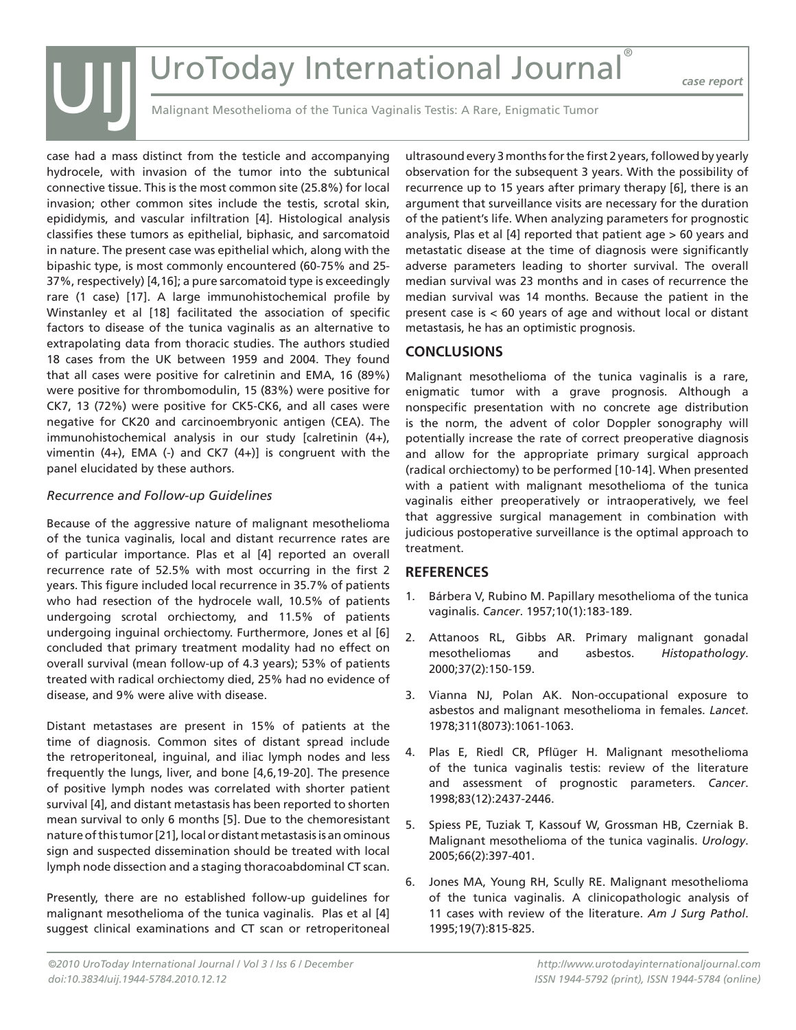## UroToday International Journal®

*case report*

Malignant Mesothelioma of the Tunica Vaginalis Testis: A Rare, Enigmatic Tumor

case had a mass distinct from the testicle and accompanying hydrocele, with invasion of the tumor into the subtunical connective tissue. This is the most common site (25.8%) for local invasion; other common sites include the testis, scrotal skin, epididymis, and vascular infiltration [4]. Histological analysis classifies these tumors as epithelial, biphasic, and sarcomatoid in nature. The present case was epithelial which, along with the bipashic type, is most commonly encountered (60-75% and 25- 37%, respectively) [4,16]; a pure sarcomatoid type is exceedingly rare (1 case) [17]. A large immunohistochemical profile by Winstanley et al [18] facilitated the association of specific factors to disease of the tunica vaginalis as an alternative to extrapolating data from thoracic studies. The authors studied 18 cases from the UK between 1959 and 2004. They found that all cases were positive for calretinin and EMA, 16 (89%) were positive for thrombomodulin, 15 (83%) were positive for CK7, 13 (72%) were positive for CK5-CK6, and all cases were negative for CK20 and carcinoembryonic antigen (CEA). The immunohistochemical analysis in our study [calretinin (4+), vimentin  $(4+)$ , EMA  $(-)$  and CK7  $(4+)$ ] is congruent with the panel elucidated by these authors.

### *Recurrence and Follow-up Guidelines*

UIJ

Because of the aggressive nature of malignant mesothelioma of the tunica vaginalis, local and distant recurrence rates are of particular importance. Plas et al [4] reported an overall recurrence rate of 52.5% with most occurring in the first 2 years. This figure included local recurrence in 35.7% of patients who had resection of the hydrocele wall, 10.5% of patients undergoing scrotal orchiectomy, and 11.5% of patients undergoing inguinal orchiectomy. Furthermore, Jones et al [6] concluded that primary treatment modality had no effect on overall survival (mean follow-up of 4.3 years); 53% of patients treated with radical orchiectomy died, 25% had no evidence of disease, and 9% were alive with disease.

Distant metastases are present in 15% of patients at the time of diagnosis. Common sites of distant spread include the retroperitoneal, inguinal, and iliac lymph nodes and less frequently the lungs, liver, and bone [4,6,19-20]. The presence of positive lymph nodes was correlated with shorter patient survival [4], and distant metastasis has been reported to shorten mean survival to only 6 months [5]. Due to the chemoresistant nature of this tumor [21], local or distant metastasis is an ominous sign and suspected dissemination should be treated with local lymph node dissection and a staging thoracoabdominal CT scan.

Presently, there are no established follow-up guidelines for malignant mesothelioma of the tunica vaginalis. Plas et al [4] suggest clinical examinations and CT scan or retroperitoneal

ultrasound every 3 months for the first 2 years, followed by yearly observation for the subsequent 3 years. With the possibility of recurrence up to 15 years after primary therapy [6], there is an argument that surveillance visits are necessary for the duration of the patient's life. When analyzing parameters for prognostic analysis, Plas et al [4] reported that patient age > 60 years and metastatic disease at the time of diagnosis were significantly adverse parameters leading to shorter survival. The overall median survival was 23 months and in cases of recurrence the median survival was 14 months. Because the patient in the present case is < 60 years of age and without local or distant metastasis, he has an optimistic prognosis.

### **CONCLUSIONS**

Malignant mesothelioma of the tunica vaginalis is a rare, enigmatic tumor with a grave prognosis. Although a nonspecific presentation with no concrete age distribution is the norm, the advent of color Doppler sonography will potentially increase the rate of correct preoperative diagnosis and allow for the appropriate primary surgical approach (radical orchiectomy) to be performed [10-14]. When presented with a patient with malignant mesothelioma of the tunica vaginalis either preoperatively or intraoperatively, we feel that aggressive surgical management in combination with judicious postoperative surveillance is the optimal approach to treatment.

### **REFERENCES**

- 1. Bárbera V, Rubino M. Papillary mesothelioma of the tunica vaginalis. *Cancer*. 1957;10(1):183-189.
- 2. Attanoos RL, Gibbs AR. Primary malignant gonadal mesotheliomas and asbestos. *Histopathology*. 2000;37(2):150-159.
- 3. Vianna NJ, Polan AK. Non-occupational exposure to asbestos and malignant mesothelioma in females. *Lancet*. 1978;311(8073):1061-1063.
- 4. Plas E, Riedl CR, Pflüger H. Malignant mesothelioma of the tunica vaginalis testis: review of the literature and assessment of prognostic parameters. *Cancer*. 1998;83(12):2437-2446.
- 5. Spiess PE, Tuziak T, Kassouf W, Grossman HB, Czerniak B. Malignant mesothelioma of the tunica vaginalis. *Urology*. 2005;66(2):397-401.
- 6. Jones MA, Young RH, Scully RE. Malignant mesothelioma of the tunica vaginalis. A clinicopathologic analysis of 11 cases with review of the literature. *Am J Surg Pathol*. 1995;19(7):815-825.